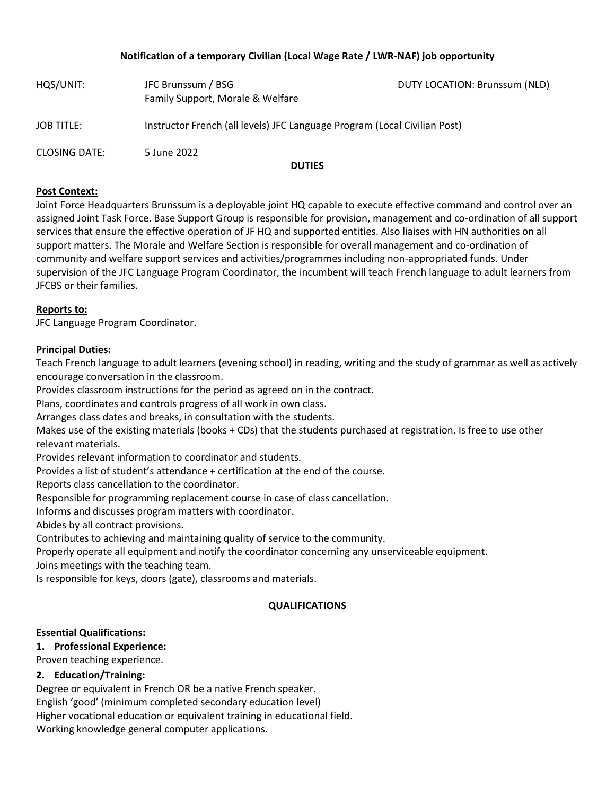# **Notification of a temporary Civilian (Local Wage Rate / LWR-NAF) job opportunity**

| HQS/UNIT:            | JFC Brunssum / BSG<br>Family Support, Morale & Welfare                    | DUTY LOCATION: Brunssum (NLD) |
|----------------------|---------------------------------------------------------------------------|-------------------------------|
| <b>JOB TITLE:</b>    | Instructor French (all levels) JFC Language Program (Local Civilian Post) |                               |
| <b>CLOSING DATE:</b> | 5 June 2022                                                               |                               |
|                      | <b>DUTIES</b>                                                             |                               |

### **Post Context:**

Joint Force Headquarters Brunssum is a deployable joint HQ capable to execute effective command and control over an assigned Joint Task Force. Base Support Group is responsible for provision, management and co-ordination of all support services that ensure the effective operation of JF HQ and supported entities. Also liaises with HN authorities on all support matters. The Morale and Welfare Section is responsible for overall management and co-ordination of community and welfare support services and activities/programmes including non-appropriated funds. Under supervision of the JFC Language Program Coordinator, the incumbent will teach French language to adult learners from JFCBS or their families.

## **Reports to:**

JFC Language Program Coordinator.

## **Principal Duties:**

Teach French language to adult learners (evening school) in reading, writing and the study of grammar as well as actively encourage conversation in the classroom.

Provides classroom instructions for the period as agreed on in the contract.

Plans, coordinates and controls progress of all work in own class.

Arranges class dates and breaks, in consultation with the students.

Makes use of the existing materials (books + CDs) that the students purchased at registration. Is free to use other relevant materials.

Provides relevant information to coordinator and students.

Provides a list of student's attendance + certification at the end of the course.

Reports class cancellation to the coordinator.

Responsible for programming replacement course in case of class cancellation.

Informs and discusses program matters with coordinator.

Abides by all contract provisions.

Contributes to achieving and maintaining quality of service to the community.

Properly operate all equipment and notify the coordinator concerning any unserviceable equipment.

Joins meetings with the teaching team.

Is responsible for keys, doors (gate), classrooms and materials.

# **QUALIFICATIONS**

#### **Essential Qualifications:**

# **1. Professional Experience:**

Proven teaching experience.

# **2. Education/Training:**

Degree or equivalent in French OR be a native French speaker.

English 'good' (minimum completed secondary education level)

Higher vocational education or equivalent training in educational field.

Working knowledge general computer applications.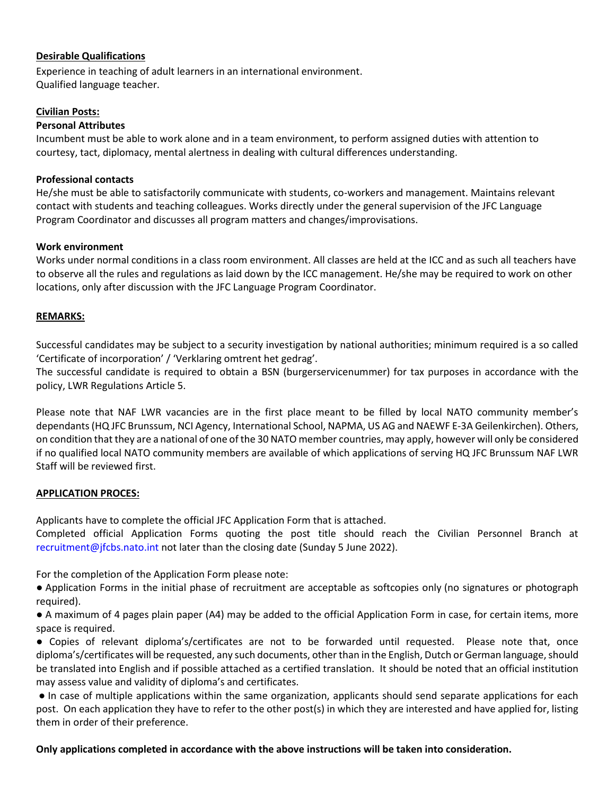## **Desirable Qualifications**

Experience in teaching of adult learners in an international environment. Qualified language teacher.

### **Civilian Posts:**

### **Personal Attributes**

Incumbent must be able to work alone and in a team environment, to perform assigned duties with attention to courtesy, tact, diplomacy, mental alertness in dealing with cultural differences understanding.

### **Professional contacts**

He/she must be able to satisfactorily communicate with students, co-workers and management. Maintains relevant contact with students and teaching colleagues. Works directly under the general supervision of the JFC Language Program Coordinator and discusses all program matters and changes/improvisations.

## **Work environment**

Works under normal conditions in a class room environment. All classes are held at the ICC and as such all teachers have to observe all the rules and regulations as laid down by the ICC management. He/she may be required to work on other locations, only after discussion with the JFC Language Program Coordinator.

#### **REMARKS:**

Successful candidates may be subject to a security investigation by national authorities; minimum required is a so called 'Certificate of incorporation' / 'Verklaring omtrent het gedrag'.

The successful candidate is required to obtain a BSN (burgerservicenummer) for tax purposes in accordance with the policy, LWR Regulations Article 5.

Please note that NAF LWR vacancies are in the first place meant to be filled by local NATO community member's dependants (HQ JFC Brunssum, NCI Agency, International School, NAPMA, US AG and NAEWF E-3A Geilenkirchen). Others, on condition that they are a national of one of the 30 NATO member countries, may apply, however will only be considered if no qualified local NATO community members are available of which applications of serving HQ JFC Brunssum NAF LWR Staff will be reviewed first.

#### **APPLICATION PROCES:**

Applicants have to complete the official JFC Application Form that is attached.

Completed official Application Forms quoting the post title should reach the Civilian Personnel Branch at [recruitment@jfcbs.nato.int](mailto:recruitment@jfcbs.nato.int) not later than the closing date (Sunday 5 June 2022).

For the completion of the Application Form please note:

● Application Forms in the initial phase of recruitment are acceptable as softcopies only (no signatures or photograph required).

● A maximum of 4 pages plain paper (A4) may be added to the official Application Form in case, for certain items, more space is required.

● Copies of relevant diploma's/certificates are not to be forwarded until requested. Please note that, once diploma's/certificates will be requested, any such documents, other than in the English, Dutch or German language, should be translated into English and if possible attached as a certified translation. It should be noted that an official institution may assess value and validity of diploma's and certificates.

● In case of multiple applications within the same organization, applicants should send separate applications for each post. On each application they have to refer to the other post(s) in which they are interested and have applied for, listing them in order of their preference.

#### **Only applications completed in accordance with the above instructions will be taken into consideration.**